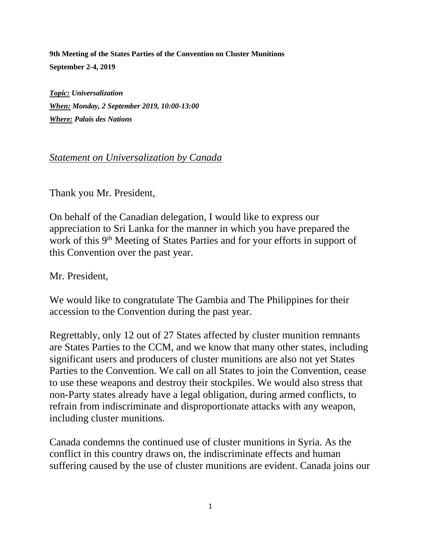**9th Meeting of the States Parties of the Convention on Cluster Munitions September 2-4, 2019**

*Topic: Universalization When: Monday, 2 September 2019, 10:00-13:00 Where: Palais des Nations*

## *Statement on Universalization by Canada*

Thank you Mr. President,

On behalf of the Canadian delegation, I would like to express our appreciation to Sri Lanka for the manner in which you have prepared the work of this 9<sup>th</sup> Meeting of States Parties and for your efforts in support of this Convention over the past year.

Mr. President,

We would like to congratulate The Gambia and The Philippines for their accession to the Convention during the past year.

Regrettably, only 12 out of 27 States affected by cluster munition remnants are States Parties to the CCM, and we know that many other states, including significant users and producers of cluster munitions are also not yet States Parties to the Convention. We call on all States to join the Convention, cease to use these weapons and destroy their stockpiles. We would also stress that non-Party states already have a legal obligation, during armed conflicts, to refrain from indiscriminate and disproportionate attacks with any weapon, including cluster munitions.

Canada condemns the continued use of cluster munitions in Syria. As the conflict in this country draws on, the indiscriminate effects and human suffering caused by the use of cluster munitions are evident. Canada joins our